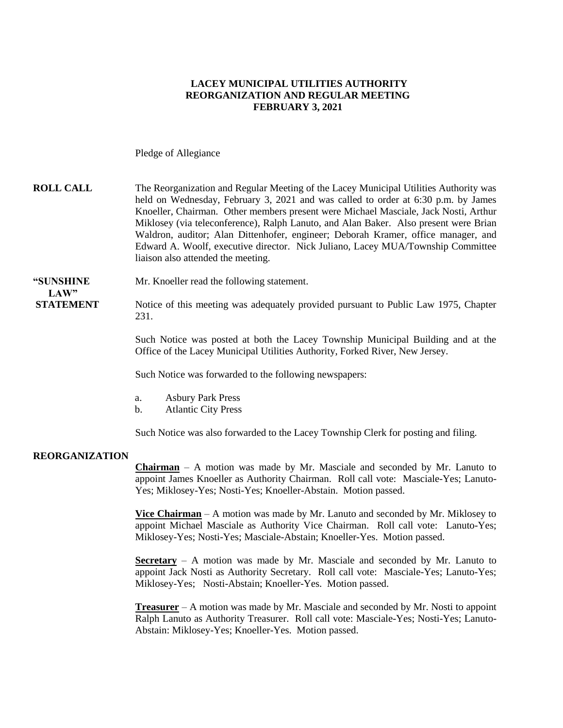### **LACEY MUNICIPAL UTILITIES AUTHORITY REORGANIZATION AND REGULAR MEETING FEBRUARY 3, 2021**

Pledge of Allegiance

### **ROLL CALL** The Reorganization and Regular Meeting of the Lacey Municipal Utilities Authority was held on Wednesday, February 3, 2021 and was called to order at 6:30 p.m. by James Knoeller, Chairman. Other members present were Michael Masciale, Jack Nosti, Arthur Miklosey (via teleconference), Ralph Lanuto, and Alan Baker. Also present were Brian Waldron, auditor; Alan Dittenhofer, engineer; Deborah Kramer, office manager, and Edward A. Woolf, executive director. Nick Juliano, Lacey MUA/Township Committee liaison also attended the meeting.

#### **"SUNSHINE** Mr. Knoeller read the following statement.

LAW"

**STATEMENT** Notice of this meeting was adequately provided pursuant to Public Law 1975, Chapter 231.

> Such Notice was posted at both the Lacey Township Municipal Building and at the Office of the Lacey Municipal Utilities Authority, Forked River, New Jersey.

Such Notice was forwarded to the following newspapers:

- a. Asbury Park Press
- b. Atlantic City Press

Such Notice was also forwarded to the Lacey Township Clerk for posting and filing.

#### **REORGANIZATION**

**Chairman** – A motion was made by Mr. Masciale and seconded by Mr. Lanuto to appoint James Knoeller as Authority Chairman. Roll call vote: Masciale-Yes; Lanuto-Yes; Miklosey-Yes; Nosti-Yes; Knoeller-Abstain. Motion passed.

**Vice Chairman** – A motion was made by Mr. Lanuto and seconded by Mr. Miklosey to appoint Michael Masciale as Authority Vice Chairman. Roll call vote: Lanuto-Yes; Miklosey-Yes; Nosti-Yes; Masciale-Abstain; Knoeller-Yes. Motion passed.

**Secretary** – A motion was made by Mr. Masciale and seconded by Mr. Lanuto to appoint Jack Nosti as Authority Secretary. Roll call vote: Masciale-Yes; Lanuto-Yes; Miklosey-Yes; Nosti-Abstain; Knoeller-Yes. Motion passed.

**Treasurer** – A motion was made by Mr. Masciale and seconded by Mr. Nosti to appoint Ralph Lanuto as Authority Treasurer. Roll call vote: Masciale-Yes; Nosti-Yes; Lanuto-Abstain: Miklosey-Yes; Knoeller-Yes. Motion passed.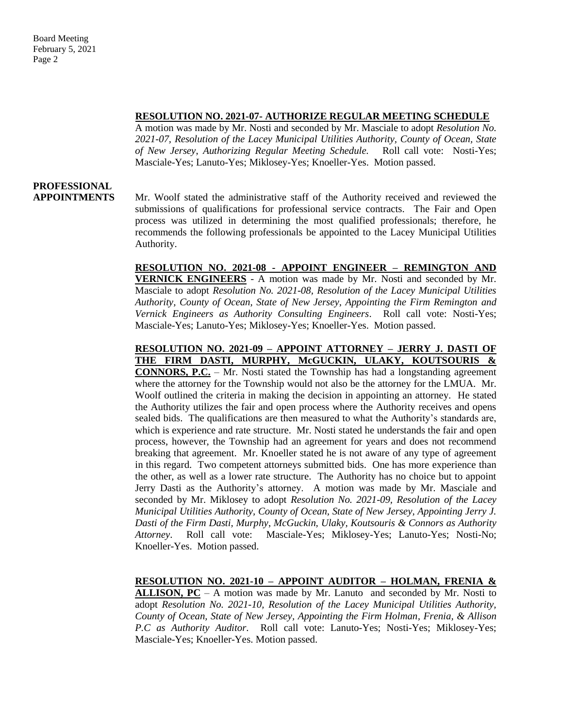### **RESOLUTION NO. 2021-07- AUTHORIZE REGULAR MEETING SCHEDULE**

A motion was made by Mr. Nosti and seconded by Mr. Masciale to adopt *Resolution No. 2021-07, Resolution of the Lacey Municipal Utilities Authority, County of Ocean, State of New Jersey*, *Authorizing Regular Meeting Schedule.* Roll call vote: Nosti-Yes; Masciale-Yes; Lanuto-Yes; Miklosey-Yes; Knoeller-Yes. Motion passed.

## **PROFESSIONAL**

**APPOINTMENTS** Mr. Woolf stated the administrative staff of the Authority received and reviewed the submissions of qualifications for professional service contracts. The Fair and Open process was utilized in determining the most qualified professionals; therefore, he recommends the following professionals be appointed to the Lacey Municipal Utilities Authority.

> **RESOLUTION NO. 2021-08 - APPOINT ENGINEER – REMINGTON AND VERNICK ENGINEERS** - A motion was made by Mr. Nosti and seconded by Mr. Masciale to adopt *Resolution No. 2021-08, Resolution of the Lacey Municipal Utilities Authority, County of Ocean, State of New Jersey, Appointing the Firm Remington and Vernick Engineers as Authority Consulting Engineers*. Roll call vote: Nosti-Yes; Masciale-Yes; Lanuto-Yes; Miklosey-Yes; Knoeller-Yes. Motion passed.

> **RESOLUTION NO. 2021-09 – APPOINT ATTORNEY – JERRY J. DASTI OF THE FIRM DASTI, MURPHY, McGUCKIN, ULAKY, KOUTSOURIS & CONNORS, P.C.** – Mr. Nosti stated the Township has had a longstanding agreement where the attorney for the Township would not also be the attorney for the LMUA. Mr. Woolf outlined the criteria in making the decision in appointing an attorney. He stated the Authority utilizes the fair and open process where the Authority receives and opens sealed bids. The qualifications are then measured to what the Authority's standards are, which is experience and rate structure. Mr. Nosti stated he understands the fair and open process, however, the Township had an agreement for years and does not recommend breaking that agreement. Mr. Knoeller stated he is not aware of any type of agreement in this regard. Two competent attorneys submitted bids. One has more experience than the other, as well as a lower rate structure. The Authority has no choice but to appoint Jerry Dasti as the Authority's attorney. A motion was made by Mr. Masciale and seconded by Mr. Miklosey to adopt *Resolution No. 2021-09, Resolution of the Lacey Municipal Utilities Authority, County of Ocean, State of New Jersey, Appointing Jerry J. Dasti of the Firm Dasti, Murphy*, *McGuckin, Ulaky, Koutsouris & Connors as Authority Attorney*. Roll call vote: Masciale-Yes; Miklosey-Yes; Lanuto-Yes; Nosti-No; Knoeller-Yes. Motion passed.

### **RESOLUTION NO. 2021-10 – APPOINT AUDITOR – HOLMAN, FRENIA &**

**ALLISON, PC** – A motion was made by Mr. Lanuto and seconded by Mr. Nosti to adopt *Resolution No. 2021-10, Resolution of the Lacey Municipal Utilities Authority, County of Ocean, State of New Jersey, Appointing the Firm Holman, Frenia, & Allison P.C as Authority Auditor*. Roll call vote: Lanuto-Yes; Nosti-Yes; Miklosey-Yes; Masciale-Yes; Knoeller-Yes. Motion passed.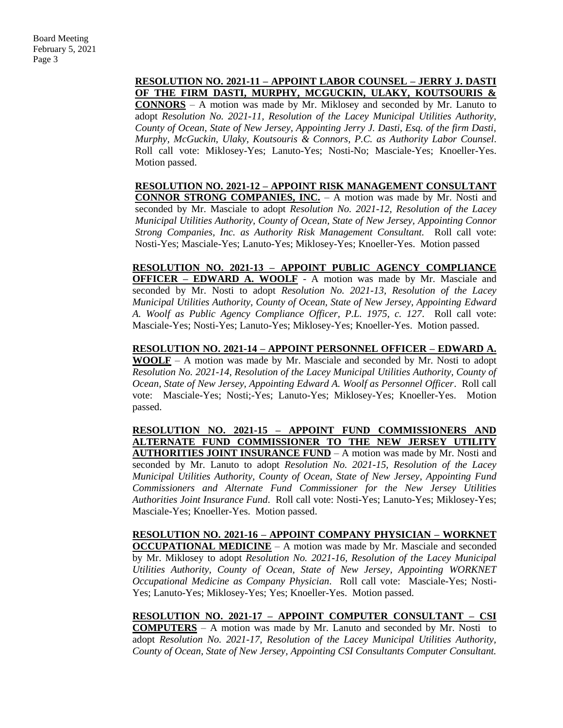### **RESOLUTION NO. 2021-11 – APPOINT LABOR COUNSEL – JERRY J. DASTI OF THE FIRM DASTI, MURPHY, MCGUCKIN, ULAKY, KOUTSOURIS &**

**CONNORS** – A motion was made by Mr. Miklosey and seconded by Mr. Lanuto to adopt *Resolution No. 2021-11, Resolution of the Lacey Municipal Utilities Authority, County of Ocean, State of New Jersey, Appointing Jerry J. Dasti, Esq. of the firm Dasti, Murphy, McGuckin, Ulaky, Koutsouris & Connors, P.C. as Authority Labor Counsel*. Roll call vote: Miklosey-Yes; Lanuto-Yes; Nosti-No; Masciale-Yes; Knoeller-Yes. Motion passed.

**RESOLUTION NO. 2021-12 – APPOINT RISK MANAGEMENT CONSULTANT CONNOR STRONG COMPANIES, INC.** – A motion was made by Mr. Nosti and seconded by Mr. Masciale to adopt *Resolution No. 2021-12, Resolution of the Lacey Municipal Utilities Authority, County of Ocean, State of New Jersey, Appointing Connor Strong Companies, Inc. as Authority Risk Management Consultant.* Roll call vote: Nosti-Yes; Masciale-Yes; Lanuto-Yes; Miklosey-Yes; Knoeller-Yes. Motion passed

**RESOLUTION NO. 2021-13 – APPOINT PUBLIC AGENCY COMPLIANCE OFFICER – EDWARD A. WOOLF** - A motion was made by Mr. Masciale and seconded by Mr. Nosti to adopt *Resolution No. 2021-13, Resolution of the Lacey Municipal Utilities Authority, County of Ocean, State of New Jersey, Appointing Edward A. Woolf as Public Agency Compliance Officer, P.L. 1975, c. 127*. Roll call vote: Masciale-Yes; Nosti-Yes; Lanuto-Yes; Miklosey-Yes; Knoeller-Yes. Motion passed.

**RESOLUTION NO. 2021-14 – APPOINT PERSONNEL OFFICER – EDWARD A. WOOLF** – A motion was made by Mr. Masciale and seconded by Mr. Nosti to adopt *Resolution No. 2021-14, Resolution of the Lacey Municipal Utilities Authority, County of Ocean, State of New Jersey, Appointing Edward A. Woolf as Personnel Officer*. Roll call vote: Masciale-Yes; Nosti;-Yes; Lanuto-Yes; Miklosey-Yes; Knoeller-Yes. Motion passed.

**RESOLUTION NO. 2021-15 – APPOINT FUND COMMISSIONERS AND ALTERNATE FUND COMMISSIONER TO THE NEW JERSEY UTILITY AUTHORITIES JOINT INSURANCE FUND** – A motion was made by Mr. Nosti and seconded by Mr. Lanuto to adopt *Resolution No. 2021-15, Resolution of the Lacey Municipal Utilities Authority, County of Ocean, State of New Jersey, Appointing Fund Commissioners and Alternate Fund Commissioner for the New Jersey Utilities Authorities Joint Insurance Fund*. Roll call vote: Nosti-Yes; Lanuto-Yes; Miklosey-Yes; Masciale-Yes; Knoeller-Yes. Motion passed.

**RESOLUTION NO. 2021-16 – APPOINT COMPANY PHYSICIAN – WORKNET OCCUPATIONAL MEDICINE** – A motion was made by Mr. Masciale and seconded by Mr. Miklosey to adopt *Resolution No. 2021-16, Resolution of the Lacey Municipal Utilities Authority, County of Ocean, State of New Jersey, Appointing WORKNET Occupational Medicine as Company Physician*. Roll call vote: Masciale-Yes; Nosti-Yes; Lanuto-Yes; Miklosey-Yes; Yes; Knoeller-Yes. Motion passed.

**RESOLUTION NO. 2021-17 – APPOINT COMPUTER CONSULTANT – CSI COMPUTERS** – A motion was made by Mr. Lanuto and seconded by Mr. Nosti to adopt *Resolution No. 2021-17, Resolution of the Lacey Municipal Utilities Authority, County of Ocean, State of New Jersey, Appointing CSI Consultants Computer Consultant.*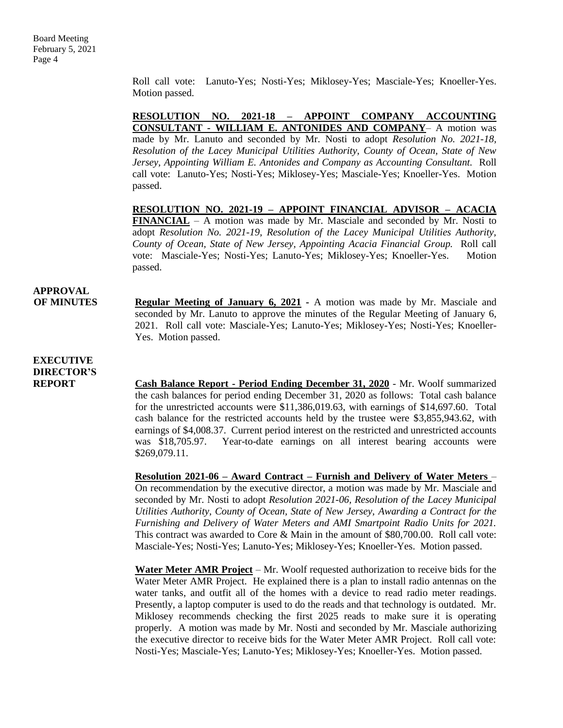Roll call vote: Lanuto-Yes; Nosti-Yes; Miklosey-Yes; Masciale-Yes; Knoeller-Yes. Motion passed.

**RESOLUTION NO. 2021-18 – APPOINT COMPANY ACCOUNTING CONSULTANT - WILLIAM E. ANTONIDES AND COMPANY**– A motion was made by Mr. Lanuto and seconded by Mr. Nosti to adopt *Resolution No. 2021-18, Resolution of the Lacey Municipal Utilities Authority, County of Ocean, State of New Jersey, Appointing William E. Antonides and Company as Accounting Consultant.* Roll call vote: Lanuto-Yes; Nosti-Yes; Miklosey-Yes; Masciale-Yes; Knoeller-Yes. Motion passed.

**RESOLUTION NO. 2021-19 – APPOINT FINANCIAL ADVISOR – ACACIA FINANCIAL** – A motion was made by Mr. Masciale and seconded by Mr. Nosti to adopt *Resolution No. 2021-19, Resolution of the Lacey Municipal Utilities Authority, County of Ocean, State of New Jersey, Appointing Acacia Financial Group.* Roll call vote: Masciale-Yes; Nosti-Yes; Lanuto-Yes; Miklosey-Yes; Knoeller-Yes. Motion passed.

# **APPROVAL**

**OF MINUTES Regular Meeting of January 6, 2021 -** A motion was made by Mr. Masciale and seconded by Mr. Lanuto to approve the minutes of the Regular Meeting of January 6, 2021. Roll call vote: Masciale-Yes; Lanuto-Yes; Miklosey-Yes; Nosti-Yes; Knoeller-Yes. Motion passed.

### **EXECUTIVE DIRECTOR'S**

**REPORT Cash Balance Report - Period Ending December 31, 2020** - Mr. Woolf summarized the cash balances for period ending December 31, 2020 as follows: Total cash balance for the unrestricted accounts were \$11,386,019.63, with earnings of \$14,697.60. Total cash balance for the restricted accounts held by the trustee were \$3,855,943.62, with earnings of \$4,008.37. Current period interest on the restricted and unrestricted accounts was \$18,705.97. Year-to-date earnings on all interest bearing accounts were \$269,079.11.

> **Resolution 2021-06 – Award Contract – Furnish and Delivery of Water Meters** – On recommendation by the executive director, a motion was made by Mr. Masciale and seconded by Mr. Nosti to adopt *Resolution 2021-06, Resolution of the Lacey Municipal Utilities Authority, County of Ocean, State of New Jersey, Awarding a Contract for the Furnishing and Delivery of Water Meters and AMI Smartpoint Radio Units for 2021.*  This contract was awarded to Core & Main in the amount of \$80,700.00. Roll call vote: Masciale-Yes; Nosti-Yes; Lanuto-Yes; Miklosey-Yes; Knoeller-Yes. Motion passed.

> **Water Meter AMR Project** – Mr. Woolf requested authorization to receive bids for the Water Meter AMR Project. He explained there is a plan to install radio antennas on the water tanks, and outfit all of the homes with a device to read radio meter readings. Presently, a laptop computer is used to do the reads and that technology is outdated. Mr. Miklosey recommends checking the first 2025 reads to make sure it is operating properly. A motion was made by Mr. Nosti and seconded by Mr. Masciale authorizing the executive director to receive bids for the Water Meter AMR Project. Roll call vote: Nosti-Yes; Masciale-Yes; Lanuto-Yes; Miklosey-Yes; Knoeller-Yes. Motion passed.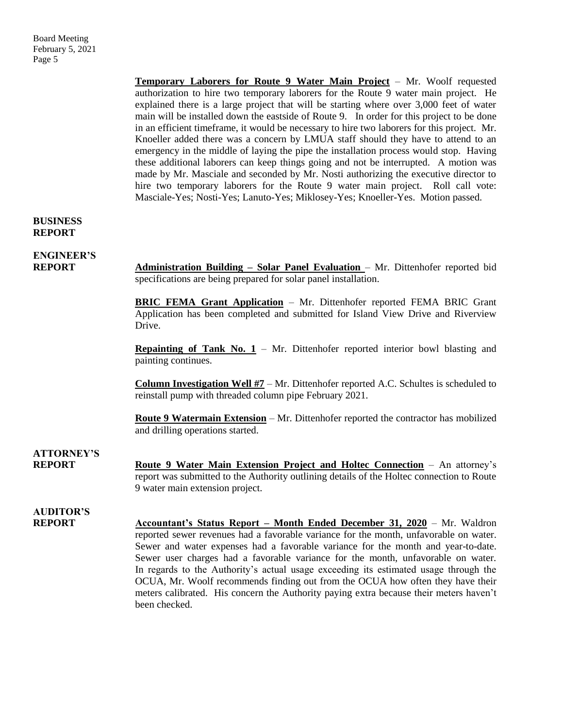**Temporary Laborers for Route 9 Water Main Project** – Mr. Woolf requested authorization to hire two temporary laborers for the Route 9 water main project. He explained there is a large project that will be starting where over 3,000 feet of water main will be installed down the eastside of Route 9. In order for this project to be done in an efficient timeframe, it would be necessary to hire two laborers for this project. Mr. Knoeller added there was a concern by LMUA staff should they have to attend to an emergency in the middle of laying the pipe the installation process would stop. Having these additional laborers can keep things going and not be interrupted. A motion was made by Mr. Masciale and seconded by Mr. Nosti authorizing the executive director to hire two temporary laborers for the Route 9 water main project. Roll call vote: Masciale-Yes; Nosti-Yes; Lanuto-Yes; Miklosey-Yes; Knoeller-Yes. Motion passed.

### **BUSINESS REPORT**

## **ENGINEER'S**

**REPORT Administration Building – Solar Panel Evaluation** – Mr. Dittenhofer reported bid specifications are being prepared for solar panel installation.

> **BRIC FEMA Grant Application** – Mr. Dittenhofer reported FEMA BRIC Grant Application has been completed and submitted for Island View Drive and Riverview Drive.

> **Repainting of Tank No. 1** – Mr. Dittenhofer reported interior bowl blasting and painting continues.

> **Column Investigation Well #7** – Mr. Dittenhofer reported A.C. Schultes is scheduled to reinstall pump with threaded column pipe February 2021.

> **Route 9 Watermain Extension** – Mr. Dittenhofer reported the contractor has mobilized and drilling operations started.

## **ATTORNEY'S**

**REPORT Route 9 Water Main Extension Project and Holtec Connection** – An attorney's report was submitted to the Authority outlining details of the Holtec connection to Route 9 water main extension project.

## **AUDITOR'S**

**REPORT Accountant's Status Report – Month Ended December 31, 2020** – Mr. Waldron reported sewer revenues had a favorable variance for the month, unfavorable on water. Sewer and water expenses had a favorable variance for the month and year-to-date. Sewer user charges had a favorable variance for the month, unfavorable on water. In regards to the Authority's actual usage exceeding its estimated usage through the OCUA, Mr. Woolf recommends finding out from the OCUA how often they have their meters calibrated. His concern the Authority paying extra because their meters haven't been checked.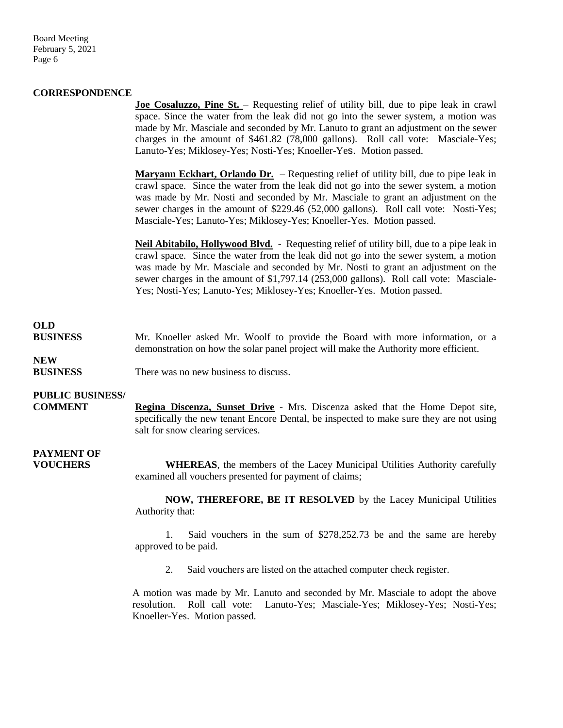#### **CORRESPONDENCE**

**Joe Cosaluzzo, Pine St.** – Requesting relief of utility bill, due to pipe leak in crawl space. Since the water from the leak did not go into the sewer system, a motion was made by Mr. Masciale and seconded by Mr. Lanuto to grant an adjustment on the sewer charges in the amount of \$461.82 (78,000 gallons). Roll call vote: Masciale-Yes; Lanuto-Yes; Miklosey-Yes; Nosti-Yes; Knoeller-Yes. Motion passed.

**Maryann Eckhart, Orlando Dr.** – Requesting relief of utility bill, due to pipe leak in crawl space. Since the water from the leak did not go into the sewer system, a motion was made by Mr. Nosti and seconded by Mr. Masciale to grant an adjustment on the sewer charges in the amount of \$229.46 (52,000 gallons). Roll call vote: Nosti-Yes; Masciale-Yes; Lanuto-Yes; Miklosey-Yes; Knoeller-Yes. Motion passed.

**Neil Abitabilo, Hollywood Blvd.** - Requesting relief of utility bill, due to a pipe leak in crawl space. Since the water from the leak did not go into the sewer system, a motion was made by Mr. Masciale and seconded by Mr. Nosti to grant an adjustment on the sewer charges in the amount of \$1,797.14 (253,000 gallons). Roll call vote: Masciale-Yes; Nosti-Yes; Lanuto-Yes; Miklosey-Yes; Knoeller-Yes. Motion passed.

### **OLD**

**NEW**

**BUSINESS** Mr. Knoeller asked Mr. Woolf to provide the Board with more information, or a demonstration on how the solar panel project will make the Authority more efficient.

**BUSINESS** There was no new business to discuss.

### **PUBLIC BUSINESS/**

**COMMENT Regina Discenza, Sunset Drive** - Mrs. Discenza asked that the Home Depot site, specifically the new tenant Encore Dental, be inspected to make sure they are not using salt for snow clearing services.

## **PAYMENT OF**

**WHEREAS**, the members of the Lacey Municipal Utilities Authority carefully examined all vouchers presented for payment of claims;

**NOW, THEREFORE, BE IT RESOLVED** by the Lacey Municipal Utilities Authority that:

1. Said vouchers in the sum of \$278,252.73 be and the same are hereby approved to be paid.

2. Said vouchers are listed on the attached computer check register.

A motion was made by Mr. Lanuto and seconded by Mr. Masciale to adopt the above resolution. Roll call vote: Lanuto-Yes; Masciale-Yes; Miklosey-Yes; Nosti-Yes; Knoeller-Yes. Motion passed.